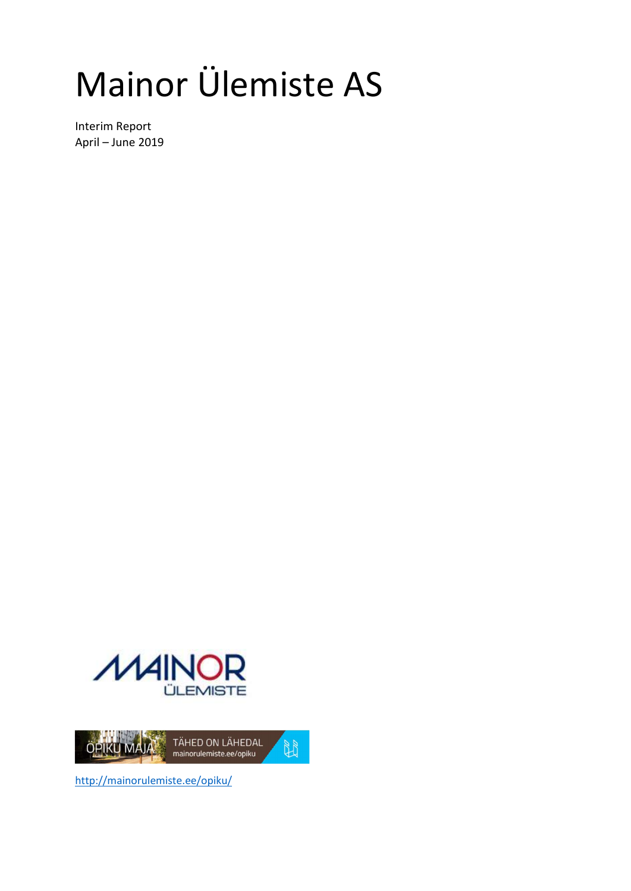# Mainor Ülemiste AS

Interim Report April – June 2019





http://mainorulemiste.ee/opiku/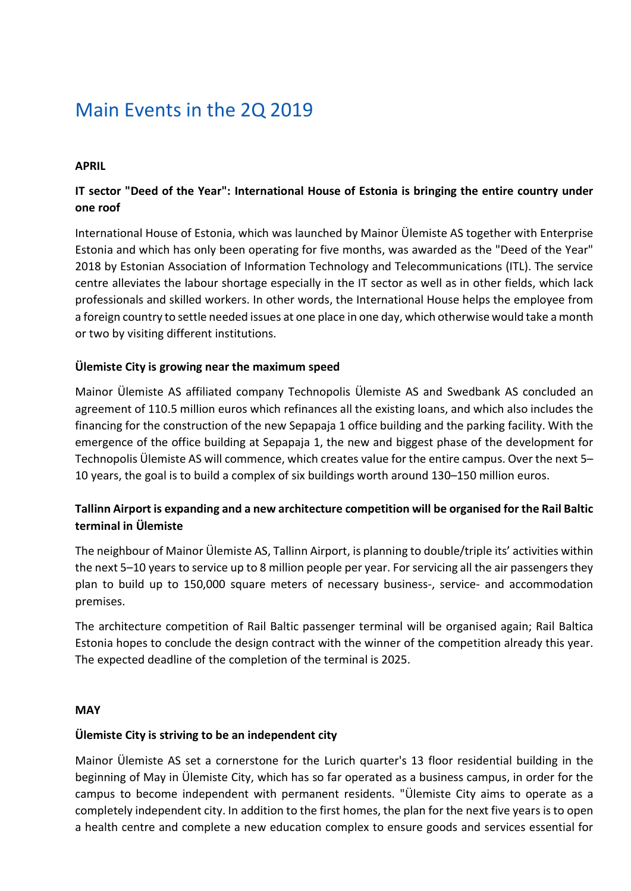### Main Events in the 2Q 2019

### APRIL

### IT sector "Deed of the Year": International House of Estonia is bringing the entire country under one roof

International House of Estonia, which was launched by Mainor Ülemiste AS together with Enterprise Estonia and which has only been operating for five months, was awarded as the "Deed of the Year" 2018 by Estonian Association of Information Technology and Telecommunications (ITL). The service centre alleviates the labour shortage especially in the IT sector as well as in other fields, which lack professionals and skilled workers. In other words, the International House helps the employee from a foreign country to settle needed issues at one place in one day, which otherwise would take a month or two by visiting different institutions.

#### Ülemiste City is growing near the maximum speed

Mainor Ülemiste AS affiliated company Technopolis Ülemiste AS and Swedbank AS concluded an agreement of 110.5 million euros which refinances all the existing loans, and which also includes the financing for the construction of the new Sepapaja 1 office building and the parking facility. With the emergence of the office building at Sepapaja 1, the new and biggest phase of the development for Technopolis Ülemiste AS will commence, which creates value for the entire campus. Over the next 5– 10 years, the goal is to build a complex of six buildings worth around 130–150 million euros.

### Tallinn Airport is expanding and a new architecture competition will be organised for the Rail Baltic terminal in Ülemiste

The neighbour of Mainor Ülemiste AS, Tallinn Airport, is planning to double/triple its' activities within the next 5–10 years to service up to 8 million people per year. For servicing all the air passengers they plan to build up to 150,000 square meters of necessary business-, service- and accommodation premises.

The architecture competition of Rail Baltic passenger terminal will be organised again; Rail Baltica Estonia hopes to conclude the design contract with the winner of the competition already this year. The expected deadline of the completion of the terminal is 2025.

#### **MAY**

#### Ülemiste City is striving to be an independent city

Mainor Ülemiste AS set a cornerstone for the Lurich quarter's 13 floor residential building in the beginning of May in Ülemiste City, which has so far operated as a business campus, in order for the campus to become independent with permanent residents. "Ülemiste City aims to operate as a completely independent city. In addition to the first homes, the plan for the next five years is to open a health centre and complete a new education complex to ensure goods and services essential for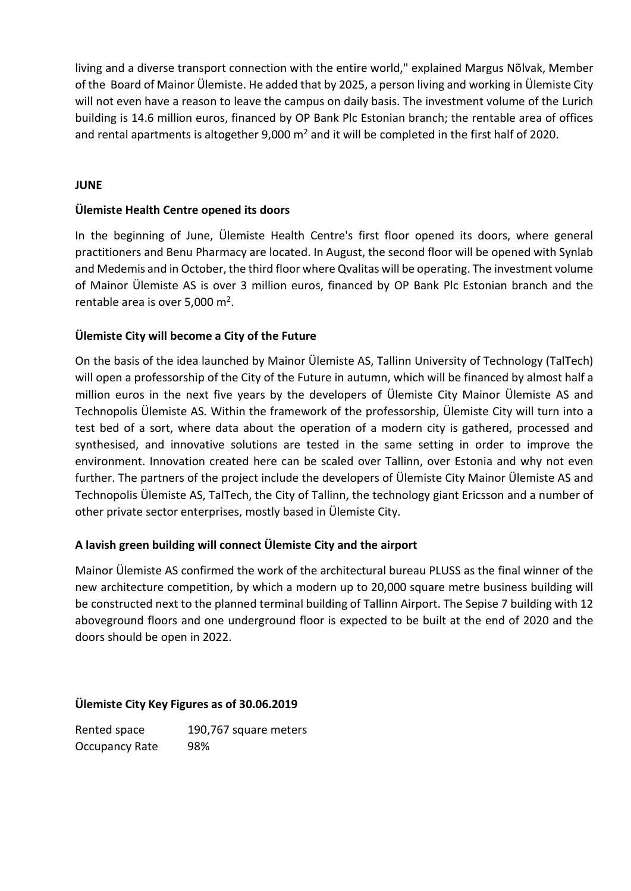living and a diverse transport connection with the entire world," explained Margus Nõlvak, Member of the Board of Mainor Ülemiste. He added that by 2025, a person living and working in Ülemiste City will not even have a reason to leave the campus on daily basis. The investment volume of the Lurich building is 14.6 million euros, financed by OP Bank Plc Estonian branch; the rentable area of offices and rental apartments is altogether 9,000  $m^2$  and it will be completed in the first half of 2020.

### JUNE

### Ülemiste Health Centre opened its doors

In the beginning of June, Ülemiste Health Centre's first floor opened its doors, where general practitioners and Benu Pharmacy are located. In August, the second floor will be opened with Synlab and Medemis and in October, the third floor where Qvalitas will be operating. The investment volume of Mainor Ülemiste AS is over 3 million euros, financed by OP Bank Plc Estonian branch and the rentable area is over 5,000 m<sup>2</sup>.

### Ülemiste City will become a City of the Future

On the basis of the idea launched by Mainor Ülemiste AS, Tallinn University of Technology (TalTech) will open a professorship of the City of the Future in autumn, which will be financed by almost half a million euros in the next five years by the developers of Ülemiste City Mainor Ülemiste AS and Technopolis Ülemiste AS. Within the framework of the professorship, Ülemiste City will turn into a test bed of a sort, where data about the operation of a modern city is gathered, processed and synthesised, and innovative solutions are tested in the same setting in order to improve the environment. Innovation created here can be scaled over Tallinn, over Estonia and why not even further. The partners of the project include the developers of Ülemiste City Mainor Ülemiste AS and Technopolis Ülemiste AS, TalTech, the City of Tallinn, the technology giant Ericsson and a number of other private sector enterprises, mostly based in Ülemiste City.

### A lavish green building will connect Ülemiste City and the airport

Mainor Ülemiste AS confirmed the work of the architectural bureau PLUSS as the final winner of the new architecture competition, by which a modern up to 20,000 square metre business building will be constructed next to the planned terminal building of Tallinn Airport. The Sepise 7 building with 12 aboveground floors and one underground floor is expected to be built at the end of 2020 and the doors should be open in 2022.

### Ülemiste City Key Figures as of 30.06.2019

Rented space 190,767 square meters Occupancy Rate 98%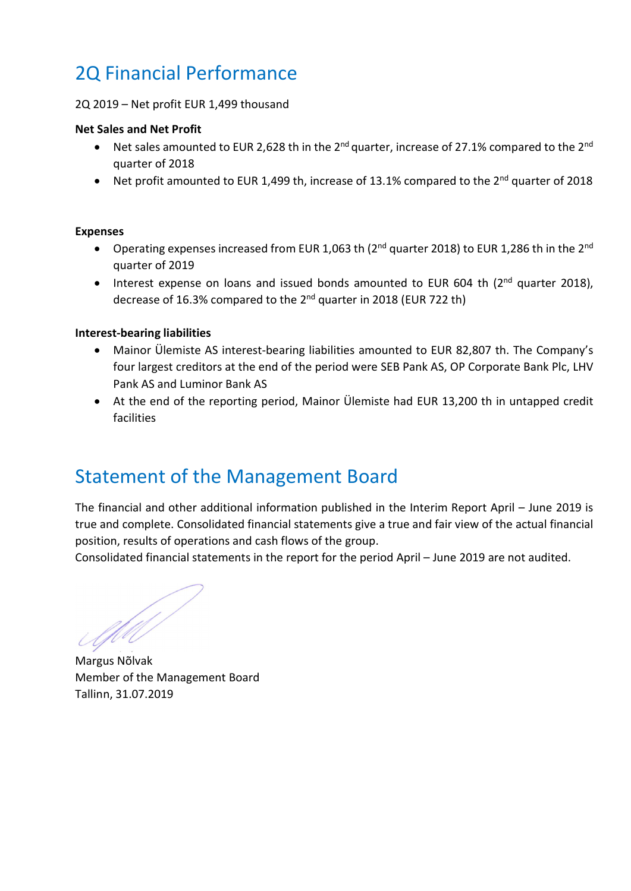### 2Q Financial Performance

#### 2Q 2019 – Net profit EUR 1,499 thousand

#### Net Sales and Net Profit

- Net sales amounted to EUR 2.628 th in the 2<sup>nd</sup> quarter, increase of 27.1% compared to the 2<sup>nd</sup> quarter of 2018
- Net profit amounted to EUR 1,499 th, increase of 13.1% compared to the  $2^{nd}$  quarter of 2018

#### Expenses

- Operating expenses increased from EUR 1,063 th (2<sup>nd</sup> quarter 2018) to EUR 1,286 th in the 2<sup>nd</sup> quarter of 2019
- Interest expense on loans and issued bonds amounted to EUR 604 th (2<sup>nd</sup> quarter 2018), decrease of 16.3% compared to the 2<sup>nd</sup> quarter in 2018 (EUR 722 th)

#### Interest-bearing liabilities

- Mainor Ülemiste AS interest-bearing liabilities amounted to EUR 82,807 th. The Company's four largest creditors at the end of the period were SEB Pank AS, OP Corporate Bank Plc, LHV Pank AS and Luminor Bank AS
- At the end of the reporting period, Mainor Ülemiste had EUR 13,200 th in untapped credit facilities

### Statement of the Management Board

The financial and other additional information published in the Interim Report April – June 2019 is true and complete. Consolidated financial statements give a true and fair view of the actual financial position, results of operations and cash flows of the group.

Consolidated financial statements in the report for the period April – June 2019 are not audited.

Margus Nõlvak

Member of the Management Board Tallinn, 31.07.2019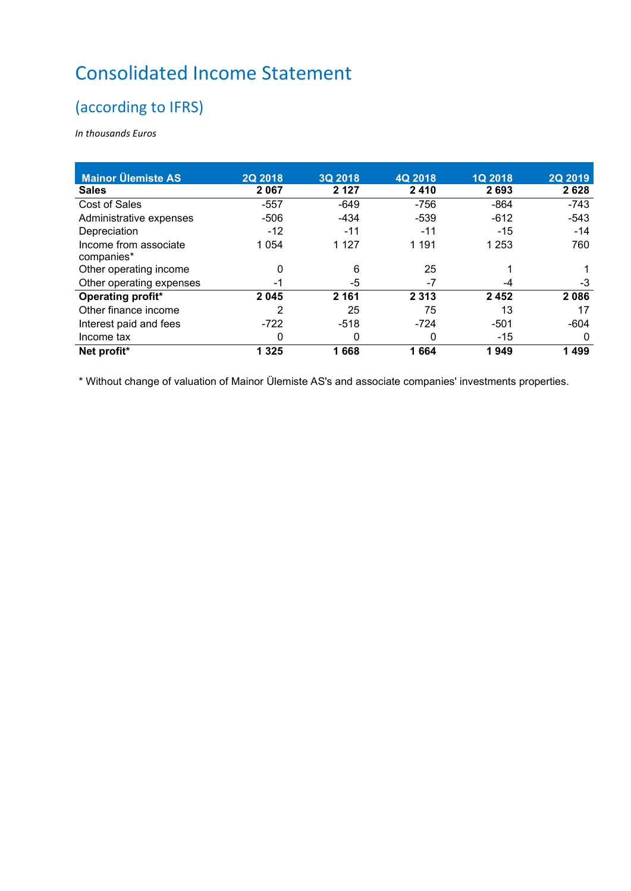### Consolidated Income Statement

### (according to IFRS)

In thousands Euros

| <b>Mainor Ülemiste AS</b> | 2Q 2018 | 3Q 2018 | 4Q 2018 | <b>1Q 2018</b> | <b>2Q 2019</b> |
|---------------------------|---------|---------|---------|----------------|----------------|
| <b>Sales</b>              | 2 0 6 7 | 2 1 2 7 | 2410    | 2693           | 2628           |
| Cost of Sales             | $-557$  | $-649$  | $-756$  | $-864$         | $-743$         |
| Administrative expenses   | $-506$  | $-434$  | $-539$  | $-612$         | $-543$         |
| Depreciation              | $-12$   | $-11$   | -11     | $-15$          | $-14$          |
| Income from associate     | 1 0 5 4 | 1 1 2 7 | 1 1 9 1 | 1 253          | 760            |
| companies*                |         |         |         |                |                |
| Other operating income    | 0       | 6       | 25      |                |                |
| Other operating expenses  | -1      | -5      | -7      | -4             | -3             |
| Operating profit*         | 2045    | 2 1 6 1 | 2 3 1 3 | 2 4 5 2        | 2086           |
| Other finance income      | 2       | 25      | 75      | 13             | 17             |
| Interest paid and fees    | $-722$  | $-518$  | $-724$  | $-501$         | $-604$         |
| Income tax                | 0       | 0       | 0       | $-15$          | 0              |
| Net profit*               | 1 3 2 5 | 1668    | 1664    | 1949           | 1499           |

\* Without change of valuation of Mainor Ülemiste AS's and associate companies' investments properties.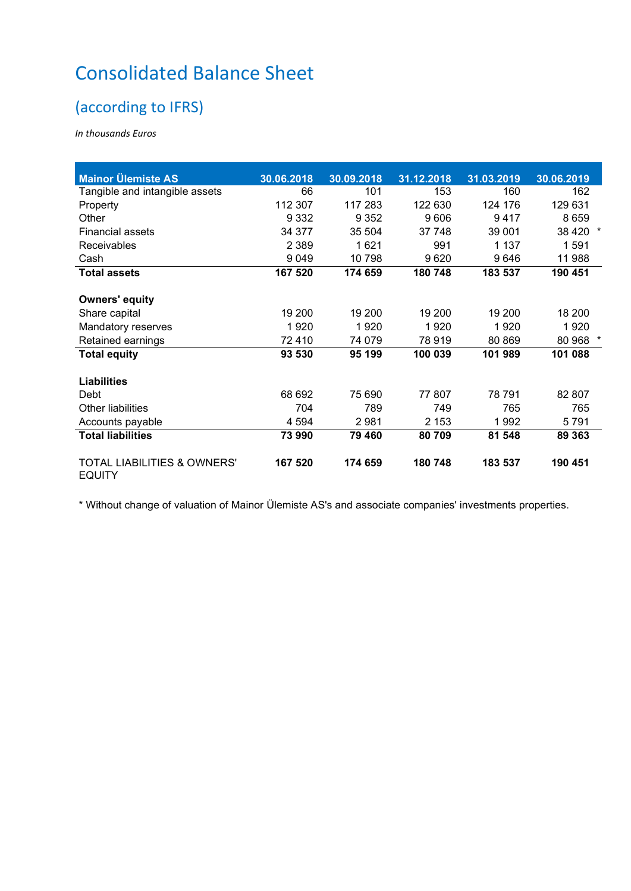## Consolidated Balance Sheet

### (according to IFRS)

In thousands Euros

| <b>Mainor Ülemiste AS</b>                               |            |            |            |            |            |
|---------------------------------------------------------|------------|------------|------------|------------|------------|
|                                                         | 30.06.2018 | 30.09.2018 | 31.12.2018 | 31.03.2019 | 30.06.2019 |
| Tangible and intangible assets                          | 66         | 101        | 153        | 160        | 162        |
| Property                                                | 112 307    | 117 283    | 122 630    | 124 176    | 129 631    |
| Other                                                   | 9 3 3 2    | 9 3 5 2    | 9606       | 9417       | 8659       |
| <b>Financial assets</b>                                 | 34 377     | 35 504     | 37 748     | 39 001     | 38 4 20    |
| Receivables                                             | 2 3 8 9    | 1621       | 991        | 1 1 3 7    | 1591       |
| Cash                                                    | 9 0 4 9    | 10798      | 9620       | 9646       | 11 988     |
| <b>Total assets</b>                                     | 167 520    | 174 659    | 180 748    | 183 537    | 190 451    |
| <b>Owners' equity</b>                                   |            |            |            |            |            |
| Share capital                                           | 19 200     | 19 200     | 19 200     | 19 200     | 18 200     |
| Mandatory reserves                                      | 1920       | 1920       | 1920       | 1920       | 1920       |
| Retained earnings                                       | 72410      | 74 079     | 78 919     | 80 869     | 80 968     |
| <b>Total equity</b>                                     | 93 530     | 95 199     | 100 039    | 101 989    | 101 088    |
| <b>Liabilities</b>                                      |            |            |            |            |            |
| Debt                                                    | 68 692     | 75 690     | 77 807     | 78 791     | 82 807     |
| <b>Other liabilities</b>                                | 704        | 789        | 749        | 765        | 765        |
| Accounts payable                                        | 4 5 9 4    | 2981       | 2 1 5 3    | 1992       | 5791       |
| <b>Total liabilities</b>                                | 73 990     | 79 460     | 80 709     | 81 548     | 89 363     |
| <b>TOTAL LIABILITIES &amp; OWNERS'</b><br><b>EQUITY</b> | 167 520    | 174 659    | 180 748    | 183 537    | 190 451    |

\* Without change of valuation of Mainor Ülemiste AS's and associate companies' investments properties.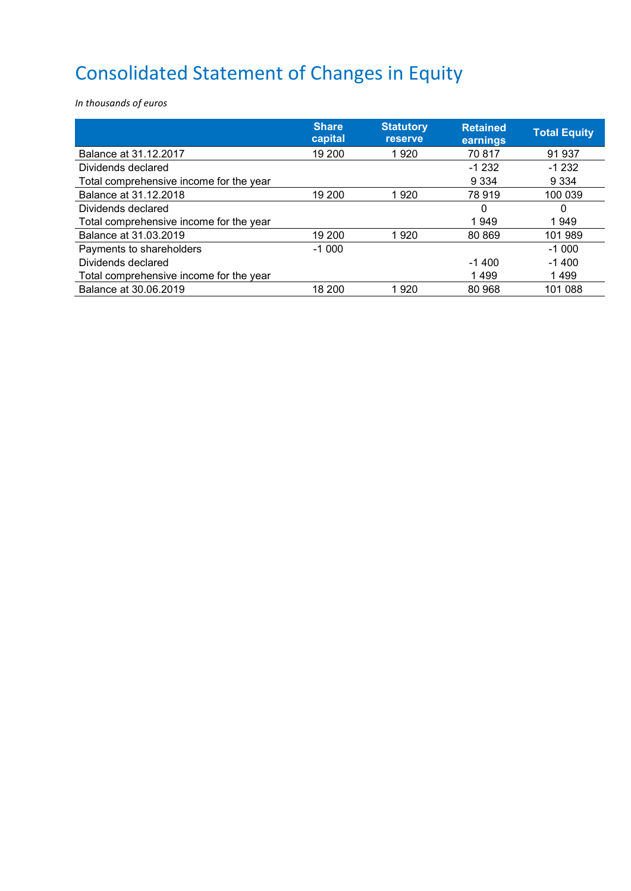# Consolidated Statement of Changes in Equity

In thousands of euros

|                                         | <b>Share</b><br>capital | <b>Statutory</b><br><b>reserve</b> | <b>Retained</b><br>earnings | <b>Total Equity</b> |
|-----------------------------------------|-------------------------|------------------------------------|-----------------------------|---------------------|
| Balance at 31.12.2017                   | 19 200                  | 1920                               | 70817                       | 91 937              |
| Dividends declared                      |                         |                                    | $-1232$                     | $-1232$             |
| Total comprehensive income for the year |                         |                                    | 9 3 3 4                     | 9 3 3 4             |
| Balance at 31.12.2018                   | 19 200                  | 1920                               | 78 919                      | 100 039             |
| Dividends declared                      |                         |                                    | 0                           | 0                   |
| Total comprehensive income for the year |                         |                                    | 1949                        | 1949                |
| Balance at 31,03,2019                   | 19 200                  | 1920                               | 80 869                      | 101 989             |
| Payments to shareholders                | $-1000$                 |                                    |                             | $-1000$             |
| Dividends declared                      |                         |                                    | $-1400$                     | $-1400$             |
| Total comprehensive income for the year |                         |                                    | 1499                        | 1499                |
| Balance at 30.06.2019                   | 18 200                  | 1920                               | 80 968                      | 101 088             |